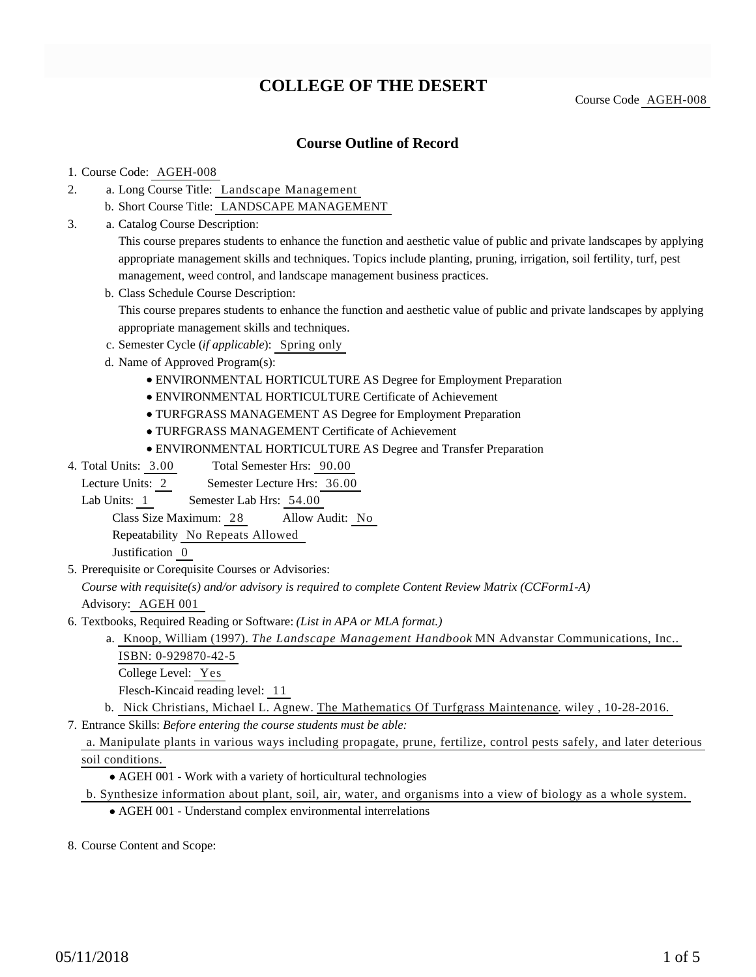# **COLLEGE OF THE DESERT**

Course Code AGEH-008

# **Course Outline of Record**

#### 1. Course Code: AGEH-008

- a. Long Course Title: Landscape Management 2.
	- b. Short Course Title: LANDSCAPE MANAGEMENT
- Catalog Course Description: a. 3.

This course prepares students to enhance the function and aesthetic value of public and private landscapes by applying appropriate management skills and techniques. Topics include planting, pruning, irrigation, soil fertility, turf, pest management, weed control, and landscape management business practices.

b. Class Schedule Course Description:

This course prepares students to enhance the function and aesthetic value of public and private landscapes by applying appropriate management skills and techniques.

- c. Semester Cycle (*if applicable*): Spring only
- d. Name of Approved Program(s):
	- ENVIRONMENTAL HORTICULTURE AS Degree for Employment Preparation
	- ENVIRONMENTAL HORTICULTURE Certificate of Achievement
	- TURFGRASS MANAGEMENT AS Degree for Employment Preparation
	- TURFGRASS MANAGEMENT Certificate of Achievement
	- ENVIRONMENTAL HORTICULTURE AS Degree and Transfer Preparation
- Total Semester Hrs: 90.00 4. Total Units: 3.00

Lecture Units: 2 Semester Lecture Hrs: 36.00

Lab Units: 1 Semester Lab Hrs: 54.00

Class Size Maximum: 28 Allow Audit: No

Repeatability No Repeats Allowed

Justification 0

5. Prerequisite or Corequisite Courses or Advisories:

*Course with requisite(s) and/or advisory is required to complete Content Review Matrix (CCForm1-A)* Advisory: AGEH 001

- 6. Textbooks, Required Reading or Software: (List in APA or MLA format.)
	- a. Knoop, William (1997). *The Landscape Management Handbook* MN Advanstar Communications, Inc.. ISBN: 0-929870-42-5

College Level: Yes

Flesch-Kincaid reading level: 11

b. Nick Christians, Michael L. Agnew. The Mathematics Of Turfgrass Maintenance. wiley , 10-28-2016.

Entrance Skills: *Before entering the course students must be able:* 7.

### a. Manipulate plants in various ways including propagate, prune, fertilize, control pests safely, and later deterious soil conditions.

AGEH 001 - Work with a variety of horticultural technologies

- b. Synthesize information about plant, soil, air, water, and organisms into a view of biology as a whole system.
	- AGEH 001 Understand complex environmental interrelations

8. Course Content and Scope: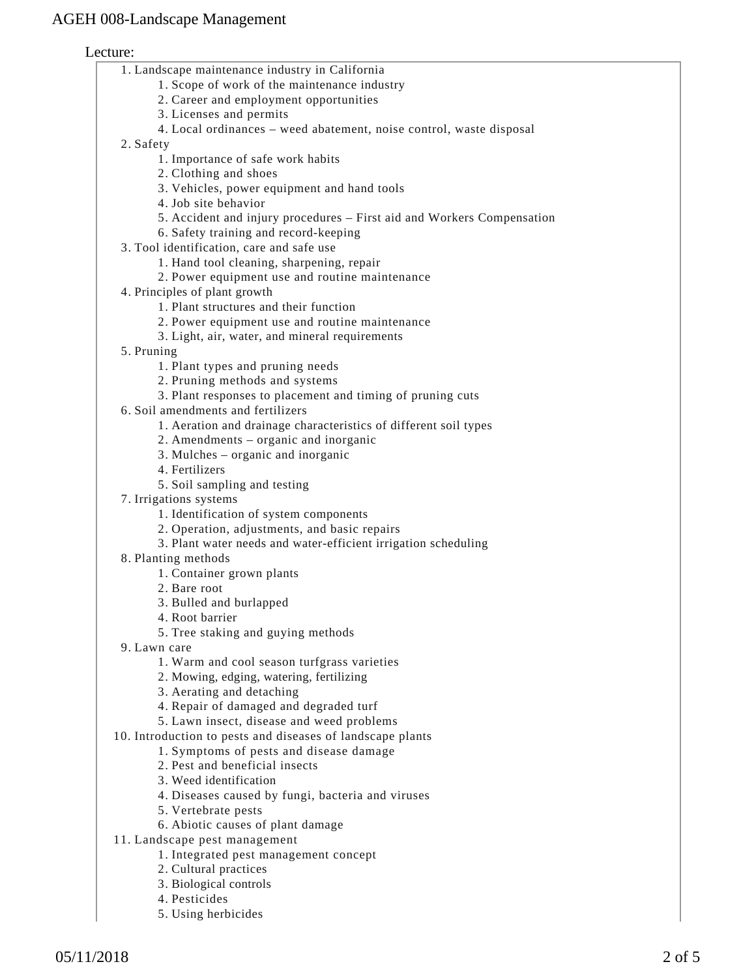### Lecture:

|  | 1. Landscape maintenance industry in California |  |  |
|--|-------------------------------------------------|--|--|
|  |                                                 |  |  |

- 1. Scope of work of the maintenance industry
- 2. Career and employment opportunities
- 3. Licenses and permits
- 4. Local ordinances weed abatement, noise control, waste disposal

2. Safety

- 1. Importance of safe work habits
- 2. Clothing and shoes
- 3. Vehicles, power equipment and hand tools
- 4. Job site behavior
- 5. Accident and injury procedures First aid and Workers Compensation
- 6. Safety training and record-keeping
- Tool identification, care and safe use 3.
	- 1. Hand tool cleaning, sharpening, repair
	- 2. Power equipment use and routine maintenance
- 4. Principles of plant growth
	- 1. Plant structures and their function
	- 2. Power equipment use and routine maintenance
	- 3. Light, air, water, and mineral requirements
- 5. Pruning
	- 1. Plant types and pruning needs
	- 2. Pruning methods and systems
	- 3. Plant responses to placement and timing of pruning cuts
- 6. Soil amendments and fertilizers
	- 1. Aeration and drainage characteristics of different soil types
	- 2. Amendments organic and inorganic
	- 3. Mulches organic and inorganic
	- 4. Fertilizers
	- 5. Soil sampling and testing
- 7. Irrigations systems
	- 1. Identification of system components
	- 2. Operation, adjustments, and basic repairs
	- 3. Plant water needs and water-efficient irrigation scheduling
- Planting methods 8.
	- 1. Container grown plants
	- 2. Bare root
	- 3. Bulled and burlapped
	- 4. Root barrier
	- 5. Tree staking and guying methods
- Lawn care 9.
	- 1. Warm and cool season turfgrass varieties
	- 2. Mowing, edging, watering, fertilizing
	- 3. Aerating and detaching
	- 4. Repair of damaged and degraded turf
	- 5. Lawn insect, disease and weed problems
- 10. Introduction to pests and diseases of landscape plants
	- 1. Symptoms of pests and disease damage
	- 2. Pest and beneficial insects
	- 3. Weed identification
	- 4. Diseases caused by fungi, bacteria and viruses
	- 5. Vertebrate pests
	- 6. Abiotic causes of plant damage
- 11. Landscape pest management
	- 1. Integrated pest management concept
	- 2. Cultural practices
	- 3. Biological controls
	- 4. Pesticides
	- 5. Using herbicides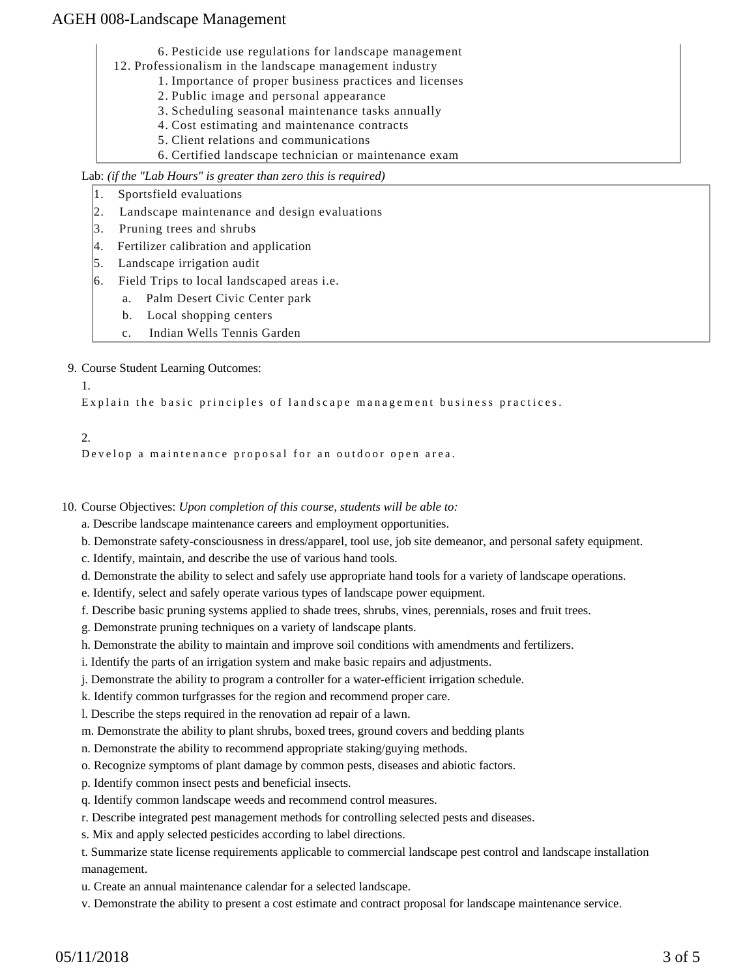6. Pesticide use regulations for landscape management

- 12. Professionalism in the landscape management industry
	- 1. Importance of proper business practices and licenses
	- 2. Public image and personal appearance
	- 3. Scheduling seasonal maintenance tasks annually
	- 4. Cost estimating and maintenance contracts
	- 5. Client relations and communications
	- 6. Certified landscape technician or maintenance exam

Lab: *(if the "Lab Hours" is greater than zero this is required)*

- 1. Sportsfield evaluations
- 2. Landscape maintenance and design evaluations
- 3. Pruning trees and shrubs
- 4. Fertilizer calibration and application
- 5. Landscape irrigation audit
- 6. Field Trips to local landscaped areas i.e.
	- a. Palm Desert Civic Center park
		- b. Local shopping centers
		- c. Indian Wells Tennis Garden

9. Course Student Learning Outcomes:

1.

Explain the basic principles of landscape management business practices.

### $2<sup>2</sup>$

Develop a maintenance proposal for an outdoor open area.

10. Course Objectives: Upon completion of this course, students will be able to:

a. Describe landscape maintenance careers and employment opportunities.

- b. Demonstrate safety-consciousness in dress/apparel, tool use, job site demeanor, and personal safety equipment.
- c. Identify, maintain, and describe the use of various hand tools.
- d. Demonstrate the ability to select and safely use appropriate hand tools for a variety of landscape operations.
- e. Identify, select and safely operate various types of landscape power equipment.
- f. Describe basic pruning systems applied to shade trees, shrubs, vines, perennials, roses and fruit trees.
- g. Demonstrate pruning techniques on a variety of landscape plants.
- h. Demonstrate the ability to maintain and improve soil conditions with amendments and fertilizers.
- i. Identify the parts of an irrigation system and make basic repairs and adjustments.
- j. Demonstrate the ability to program a controller for a water-efficient irrigation schedule.
- k. Identify common turfgrasses for the region and recommend proper care.

l. Describe the steps required in the renovation ad repair of a lawn.

- m. Demonstrate the ability to plant shrubs, boxed trees, ground covers and bedding plants
- n. Demonstrate the ability to recommend appropriate staking/guying methods.
- o. Recognize symptoms of plant damage by common pests, diseases and abiotic factors.
- p. Identify common insect pests and beneficial insects.
- q. Identify common landscape weeds and recommend control measures.
- r. Describe integrated pest management methods for controlling selected pests and diseases.
- s. Mix and apply selected pesticides according to label directions.

t. Summarize state license requirements applicable to commercial landscape pest control and landscape installation management.

- u. Create an annual maintenance calendar for a selected landscape.
- v. Demonstrate the ability to present a cost estimate and contract proposal for landscape maintenance service.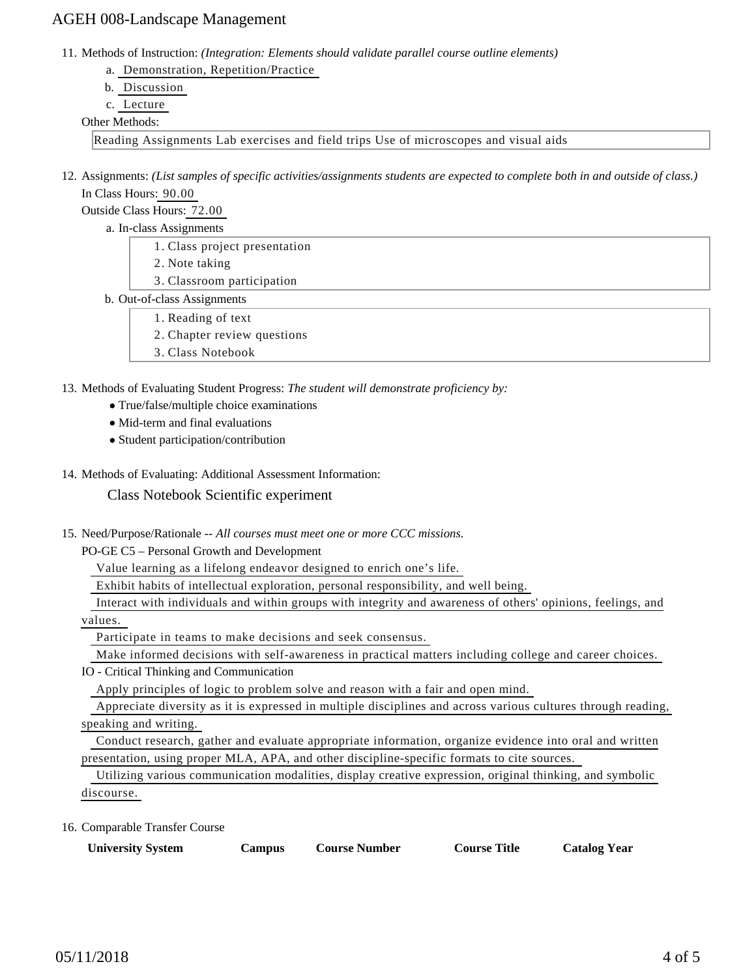11. Methods of Instruction: *(Integration: Elements should validate parallel course outline elements)* 

- a. Demonstration, Repetition/Practice
- b. Discussion
- c. Lecture

### Other Methods:

Reading Assignments Lab exercises and field trips Use of microscopes and visual aids

12. Assignments: (List samples of specific activities/assignments students are expected to complete both in and outside of class.) In Class Hours: 90.00

Outside Class Hours: 72.00

- a. In-class Assignments
	- 1. Class project presentation
	- 2. Note taking
	- 3. Classroom participation
- b. Out-of-class Assignments
	- 1. Reading of text
		- 2. Chapter review questions
	- 3. Class Notebook

13. Methods of Evaluating Student Progress: The student will demonstrate proficiency by:

- True/false/multiple choice examinations
- Mid-term and final evaluations
- Student participation/contribution
- 14. Methods of Evaluating: Additional Assessment Information:

Class Notebook Scientific experiment

15. Need/Purpose/Rationale -- All courses must meet one or more CCC missions.

PO-GE C5 – Personal Growth and Development

Value learning as a lifelong endeavor designed to enrich one's life.

Exhibit habits of intellectual exploration, personal responsibility, and well being.

Interact with individuals and within groups with integrity and awareness of others' opinions, feelings, and

values.

Participate in teams to make decisions and seek consensus.

Make informed decisions with self-awareness in practical matters including college and career choices.

IO - Critical Thinking and Communication

Apply principles of logic to problem solve and reason with a fair and open mind.

 Appreciate diversity as it is expressed in multiple disciplines and across various cultures through reading, speaking and writing.

 Conduct research, gather and evaluate appropriate information, organize evidence into oral and written presentation, using proper MLA, APA, and other discipline-specific formats to cite sources.

 Utilizing various communication modalities, display creative expression, original thinking, and symbolic discourse.

16. Comparable Transfer Course

| <b>University System</b><br><b>Catalog Year</b><br><b>Course Number</b><br><b>Course Title</b><br>Campus |  |
|----------------------------------------------------------------------------------------------------------|--|
|----------------------------------------------------------------------------------------------------------|--|